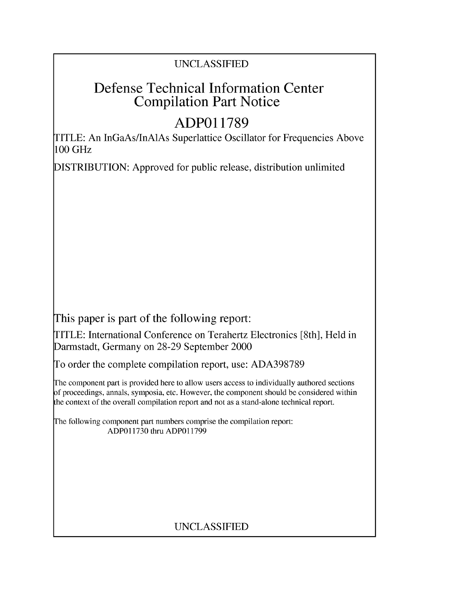### **UNCLASSIFIED**

## **Defense Technical Information Center Compilation Part Notice**

## **ADPO1 1789**

TITLE: An InGaAs/InAlAs Superlattice Oscillator for Frequencies Above **100** GHz

**DISTRIBUTION:** Approved for public release, distribution unlimited

This paper is part of the following report:

TITLE: International Conference on Terahertz Electronics [8th], Held in Darmstadt, Germany on **28-29** September 2000

**To** order the complete compilation report, use: **ADA398789**

The component part is provided here to allow users access to individually authored sections **f** proceedings, annals, symposia, etc. However, the component should be considered within [he context of the overall compilation report and not as a stand-alone technical report.

The following component part numbers comprise the compilation report: **ADPO11730** thru **ADP011799**

### **UNCLASSIFIED**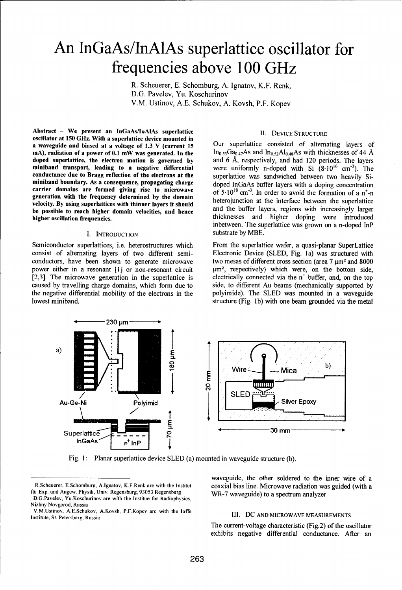# An InGaAs/InAlAs superlattice oscillator for frequencies above **100** GHz

R. Scheuerer, E. Schomburg, A. Ignatov, K.F. Renk, D.G. Pavelev, Yu. Koschurinov V.M. Ustinov, A.E. Schukov, A. Kovsh, P.F. Kopev

Abstract - We present an InGaAs/InAlAs superlattice **II. DEVICE STRUCTURE** oscillator at 150 GHz. With a superlattice device mounted in<br>a waveguide and biased at a voltage of 1.3 V (current 15 Our superlattice consisted of alternating layers of mA), radiation of a power of 0.1 mW was generated. In the  $\frac{\ln_{0.53}Ga_{0.47}}{AB}$  and  $\frac{\ln_{0.52}Ga_{0.47}}{AB}$  and  $\frac{\ln_{0.52}Ga_{0.47}}{AB}$  and  $\frac{\ln_{0.52}Ga_{0.47}}{AB}$  and  $\frac{\ln_{0.52}Ga_{0.47}}{AB}$  and  $\frac{\ln_{0.52}Ga_{0.47}}{AB}$  and doped superlattice, the electron motion is governed by and 6 Å, respectively, and had 120 periods. The layers miniband transport, leading to a negative differential were uniformly n-doped with Si (8.10<sup>16</sup> cm<sup>-3</sup>). The conductance due to Bragg reflection of the electrons at the superlattice was sandwiched between two heavily Siminiband boundary. As a consequence, propagating charge doped InGaAs buffer layers with a doping concentration carrier domains are formed giving rise to microwave generation with the frequency determined by the domain **heterojunction at the interface between** the superlattice velocity. By using superlattices with thinner layers it should<br>be possible to reach higher domain velocities, and hence<br>higher layers, regions with increasingly larger<br>hicknesses and higher doping were introduced

consist of alternating layers of two different semi- Electronic Device **(SLED,** Fig. **la)** was structured with conductors, have been shown to generate microwave two mesas of different cross section (area **7 jm2** and **8000** power either in a resonant [1] or non-resonant circuit **[2,3].** The microwave generation in the superlattice is electrically connected via the n' buffer, and, on the top caused **by** travelling charge domains, which form due to side, to different Au beams (mechanically supported **by** the negative differential mobility of the electrons in the polyimide). The **SLED** was mounted in a waveguide lowest miniband. Structure (Fig. 1b) with one beam grounded via the metal

 $In<sub>0.53</sub>Ga<sub>0.47</sub>As and In<sub>0.52</sub>Al<sub>0.48</sub>As with thicknesses of 44 Å$ of  $5.10^{18}$  cm<sup>-3</sup>. In order to avoid the formation of a n<sup>+</sup>-n thicknesses and higher doping were introduced inbetween. The superlattice was grown on a n-doped InP **I. INTRODUCTION** substrate **by** MBE.

Semiconductor superlattices, i.e. heterostructures which From the superlattice wafer, a quasi-planar SuperLattice  $\mu$ m<sup>2</sup>, respectively) which were, on the bottom side,



Fig. **1:** Planar superlattice device **SLED** (a) mounted in waveguide structure **(b).**

waveguide, the other soldered to the inner wire of a R.Scheuerer., E.Schomburg, A.Ignatov, K.F.Renk are with the Institut coaxial bias line. Microwave radiation was guided (with a

The current-voltage characteristic (Fig.2) of the oscillator exhibits negative differential conductance. After an

für Exp. und Angew. Physik, Univ. Regensburg, 93053 Regensburg WR-7 waveguide) to a spectrum analyzer D.G.Pavelev, Yu.Koschurinov are with the Institue for Radiophysics, Nizhny Novgorod, Russia

V.M.Ustinov, A.E.Schukov, A.Kovsh, P.F.Kopev are with the loffe **III. DC AND MICROWAVE MEASUREMENTS** Institute, St. Petersburg, Russia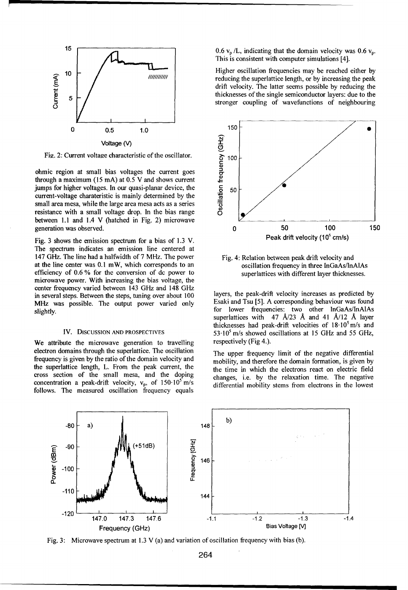

Fig. 2: Current voltage characteristic of the oscillator.  $\frac{1}{6}$  100

ohmic region at small bias voltages the current goes through a maximum (15 mA) at **0.5** V and shows current jumps for higher voltages. In our quasi-planar device, the **... 6 50** current-voltage charateristic is mainly determined by the small area mesa, while the large area mesa acts as a series resistance with a small voltage drop. In the bias range **0** between 1.1 and 1.4 V (hatched in Fig. 2) microwave **...**

The spectrum indicates an emission line centered at 147 GHz. The line had a halfwidth of 7 MHz. The power Fig. 4: Relation between peak drift velocity and at the line center was 0.1 mW, which corresponds to an oscillation frequency in three InGaAs/InAlAs efficiency of 0.6 % for the conversion of dc power to superlattices with different layer thicknesses. microwave power. With increasing the bias voltage, the center frequency varied between 143 GHz and 148 GHz in several steps. Between the steps, tuning over about 100 layers, the peak-drift velocity increases as predicted by<br>MHz was possible. The output power varied only Esaki and Tsu [5]. A corresponding behaviour was found MHz was possible. The output power varied only

We attribute the microwave generation to travelling respectively (Fig 4.). electron domains through the superlattice. The oscillation The upper frequency limit of the negative differential frequency is given by the ratio of the domain velocity and mobility, and therefore the domain formation, is given by the superlattice length, L. From the peak current, the time in which the electrons react on electric field cross section of the small mesa, and the doping changes, i.e. by the relaxation time. The negative concentration a peak-drift velocity, v<sub>p</sub>, of  $150.10^5$  m/s differential mobility stems from electrons in the lowest follows. The measured oscillation frequency equals

This is consistent with computer simulations [4].

10  $\begin{array}{ccc}\n\bullet & \bullet & \bullet \\
\bullet & \bullet & \bullet\n\end{array}$  Higher oscillation frequencies may be reached either by reducing the superlattice length, or by increasing the peak drift velocity. The latter seems possible by reducing the  $\begin{array}{c|c|c|c|c|c} \hline \mathbf{2} & \mathbf{2} & \mathbf{2} & \mathbf{2} & \mathbf{2} & \mathbf{2} & \mathbf{2} & \mathbf{2} & \mathbf{2} & \mathbf{2} & \mathbf{2} & \mathbf{2} & \mathbf{2} & \mathbf{2} & \mathbf{2} & \mathbf{2} & \mathbf{2} & \mathbf{2} & \mathbf{2} & \mathbf{2} & \mathbf{2} & \mathbf{2} & \mathbf{2} & \mathbf{2} & \mathbf{2} & \mathbf{2} & \mathbf{2} & \mathbf{2} & \mathbf{$ stronger coupling of wavefunctions of neighbouring



slightly. For the capacity performance capacity for lower frequencies: two other lnGaAs/InAlAs superlattices with  $47$  Å/23 Å and  $41$  Å/12 Å laver thicknesses had peak-drift velocities of  $18.10<sup>5</sup>$  m/s and IV. DISCUSSION AND PROSPECTIVES 53.10<sup>5</sup> m/s showed oscillations at 15 GHz and 55 GHz,



Fig. 3: Microwave spectrum at 1.3 V (a) and variation of oscillation frequency with bias (b).